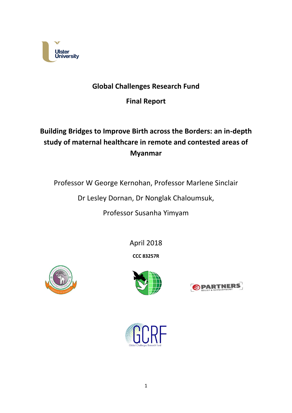

## **Global Challenges Research Fund**

**Final Report**

# **Building Bridges to Improve Birth across the Borders: an in-depth study of maternal healthcare in remote and contested areas of Myanmar**

Professor W George Kernohan, Professor Marlene Sinclair

Dr Lesley Dornan, Dr Nonglak Chaloumsuk,

Professor Susanha Yimyam

April 2018

**CCC 83257R**







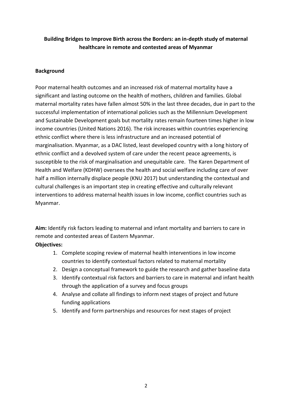## **Building Bridges to Improve Birth across the Borders: an in-depth study of maternal healthcare in remote and contested areas of Myanmar**

#### **Background**

Poor maternal health outcomes and an increased risk of maternal mortality have a significant and lasting outcome on the health of mothers, children and families. Global maternal mortality rates have fallen almost 50% in the last three decades, due in part to the successful implementation of international policies such as the Millennium Development and Sustainable Development goals but mortality rates remain fourteen times higher in low income countries (United Nations 2016). The risk increases within countries experiencing ethnic conflict where there is less infrastructure and an increased potential of marginalisation. Myanmar, as a DAC listed, least developed country with a long history of ethnic conflict and a devolved system of care under the recent peace agreements, is susceptible to the risk of marginalisation and unequitable care. The Karen Department of Health and Welfare (KDHW) oversees the health and social welfare including care of over half a million internally displace people (KNU 2017) but understanding the contextual and cultural challenges is an important step in creating effective and culturally relevant interventions to address maternal health issues in low income, conflict countries such as Myanmar.

**Aim:** Identify risk factors leading to maternal and infant mortality and barriers to care in remote and contested areas of Eastern Myanmar.

#### **Objectives:**

- 1. Complete scoping review of maternal health interventions in low income countries to identify contextual factors related to maternal mortality
- 2. Design a conceptual framework to guide the research and gather baseline data
- 3. Identify contextual risk factors and barriers to care in maternal and infant health through the application of a survey and focus groups
- 4. Analyse and collate all findings to inform next stages of project and future funding applications
- 5. Identify and form partnerships and resources for next stages of project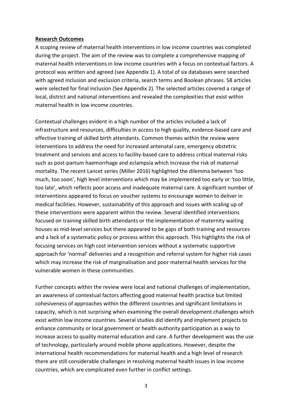#### **Research Outcomes**

A scoping review of maternal health interventions in low income countries was completed during the project. The aim of the review was to complete a comprehensive mapping of maternal health interventions in low income countries with a focus on contextual factors. A protocol was written and agreed (see Appendix 1). A total of six databases were searched with agreed inclusion and exclusion criteria, search terms and Boolean phrases. 58 articles were selected for final inclusion (See Appendix 2). The selected articles covered a range of local, district and national interventions and revealed the complexities that exist within maternal health in low income countries.

Contextual challenges evident in a high number of the articles included a lack of infrastructure and resources, difficulties in access to high quality, evidence-based care and effective training of skilled birth attendants. Common themes within the review were interventions to address the need for increased antenatal care, emergency obstetric treatment and services and access to facility-based care to address critical maternal risks such as post-partum haemorrhage and eclampsia which increase the risk of maternal mortality. The recent Lancet series (Miller 2016) highlighted the dilemma between 'too much, too soon', high level interventions which may be implemented too early or 'too little, too late', which reflects poor access and inadequate maternal care. A significant number of interventions appeared to focus on voucher systems to encourage women to deliver in medical facilities. However, sustainability of this approach and issues with scaling up of these interventions were apparent within the review. Several identified interventions focused on training skilled birth attendants or the implementation of maternity waiting houses as mid-level services but there appeared to be gaps of both training and resources and a lack of a systematic policy or process within this approach. This highlights the risk of focusing services on high cost intervention services without a systematic supportive approach for 'normal' deliveries and a recognition and referral system for higher risk cases which may increase the risk of marginalisation and poor maternal health services for the vulnerable women in these communities.

Further concepts within the review were local and national challenges of implementation, an awareness of contextual factors affecting good maternal health practice but limited cohesiveness of approaches within the different countries and significant limitations in capacity, which is not surprising when examining the overall development challenges which exist within low income countries. Several studies did identify and implement projects to enhance community or local government or health authority participation as a way to increase access to quality maternal education and care. A further development was the use of technology, particularly around mobile phone applications. However, despite the international health recommendations for maternal health and a high level of research there are still considerable challenges in resolving maternal health issues in low income countries, which are complicated even further in conflict settings.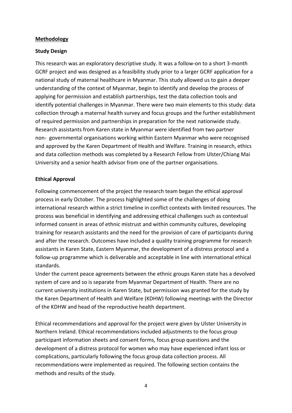#### **Methodology**

#### **Study Design**

This research was an exploratory descriptive study. It was a follow-on to a short 3-month GCRF project and was designed as a feasibility study prior to a larger GCRF application for a national study of maternal healthcare in Myanmar. This study allowed us to gain a deeper understanding of the context of Myanmar, begin to identify and develop the process of applying for permission and establish partnerships, test the data collection tools and identify potential challenges in Myanmar. There were two main elements to this study: data collection through a maternal health survey and focus groups and the further establishment of required permission and partnerships in preparation for the next nationwide study. Research assistants from Karen state in Myanmar were identified from two partner non- governmental organisations working within Eastern Myanmar who were recognised and approved by the Karen Department of Health and Welfare. Training in research, ethics and data collection methods was completed by a Research Fellow from Ulster/Chiang Mai University and a senior health advisor from one of the partner organisations.

#### **Ethical Approval**

Following commencement of the project the research team began the ethical approval process in early October. The process highlighted some of the challenges of doing international research within a strict timeline in conflict contexts with limited resources. The process was beneficial in identifying and addressing ethical challenges such as contextual informed consent in areas of ethnic mistrust and within community cultures, developing training for research assistants and the need for the provision of care of participants during and after the research. Outcomes have included a quality training programme for research assistants in Karen State, Eastern Myanmar, the development of a distress protocol and a follow-up programme which is deliverable and acceptable in line with international ethical standards.

Under the current peace agreements between the ethnic groups Karen state has a devolved system of care and so is separate from Myanmar Department of Health. There are no current university institutions in Karen State, but permission was granted for the study by the Karen Department of Health and Welfare (KDHW) following meetings with the Director of the KDHW and head of the reproductive health department.

Ethical recommendations and approval for the project were given by Ulster University in Northern Ireland. Ethical recommendations included adjustments to the focus group participant information sheets and consent forms, focus group questions and the development of a distress protocol for women who may have experienced infant loss or complications, particularly following the focus group data collection process. All recommendations were implemented as required. The following section contains the methods and results of the study.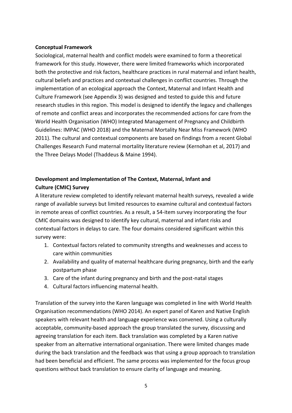#### **Conceptual Framework**

Sociological, maternal health and conflict models were examined to form a theoretical framework for this study. However, there were limited frameworks which incorporated both the protective and risk factors, healthcare practices in rural maternal and infant health, cultural beliefs and practices and contextual challenges in conflict countries. Through the implementation of an ecological approach the Context, Maternal and Infant Health and Culture Framework (see Appendix 3) was designed and tested to guide this and future research studies in this region. This model is designed to identify the legacy and challenges of remote and conflict areas and incorporates the recommended actions for care from the World Health Organisation (WHO) Integrated Management of Pregnancy and Childbirth Guidelines: IMPAC (WHO 2018) and the Maternal Mortality Near Miss Framework (WHO 2011). The cultural and contextual components are based on findings from a recent Global Challenges Research Fund maternal mortality literature review (Kernohan et al, 2017) and the Three Delays Model (Thaddeus & Maine 1994).

## **Development and Implementation of The Context, Maternal, Infant and Culture (CMIC) Survey**

A literature review completed to identify relevant maternal health surveys, revealed a wide range of available surveys but limited resources to examine cultural and contextual factors in remote areas of conflict countries. As a result, a 54-item survey incorporating the four CMIC domains was designed to identify key cultural, maternal and infant risks and contextual factors in delays to care. The four domains considered significant within this survey were:

- 1. Contextual factors related to community strengths and weaknesses and access to care within communities
- 2. Availability and quality of maternal healthcare during pregnancy, birth and the early postpartum phase
- 3. Care of the infant during pregnancy and birth and the post-natal stages
- 4. Cultural factors influencing maternal health.

Translation of the survey into the Karen language was completed in line with World Health Organisation recommendations (WHO 2014). An expert panel of Karen and Native English speakers with relevant health and language experience was convened. Using a culturally acceptable, community-based approach the group translated the survey, discussing and agreeing translation for each item. Back translation was completed by a Karen native speaker from an alternative international organisation. There were limited changes made during the back translation and the feedback was that using a group approach to translation had been beneficial and efficient. The same process was implemented for the focus group questions without back translation to ensure clarity of language and meaning.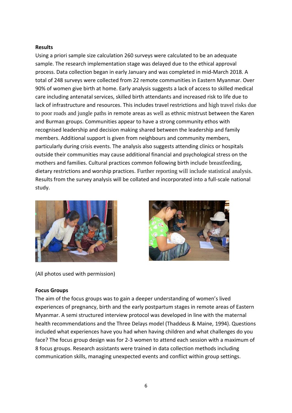#### **Results**

Using a priori sample size calculation 260 surveys were calculated to be an adequate sample. The research implementation stage was delayed due to the ethical approval process. Data collection began in early January and was completed in mid-March 2018. A total of 248 surveys were collected from 22 remote communities in Eastern Myanmar. Over 90% of women give birth at home. Early analysis suggests a lack of access to skilled medical care including antenatal services, skilled birth attendants and increased risk to life due to lack of infrastructure and resources. This includes travel restrictions and high travel risks due to poor roads and jungle paths in remote areas as well as ethnic mistrust between the Karen and Burman groups. Communities appear to have a strong community ethos with recognised leadership and decision making shared between the leadership and family members. Additional support is given from neighbours and community members, particularly during crisis events. The analysis also suggests attending clinics or hospitals outside their communities may cause additional financial and psychological stress on the mothers and families. Cultural practices common following birth include breastfeeding, dietary restrictions and worship practices. Further reporting will include statistical analysis. Results from the survey analysis will be collated and incorporated into a full-scale national study.





(All photos used with permission)

#### **Focus Groups**

The aim of the focus groups was to gain a deeper understanding of women's lived experiences of pregnancy, birth and the early postpartum stages in remote areas of Eastern Myanmar. A semi structured interview protocol was developed in line with the maternal health recommendations and the Three Delays model (Thaddeus & Maine, 1994). Questions included what experiences have you had when having children and what challenges do you face? The focus group design was for 2-3 women to attend each session with a maximum of 8 focus groups. Research assistants were trained in data collection methods including communication skills, managing unexpected events and conflict within group settings.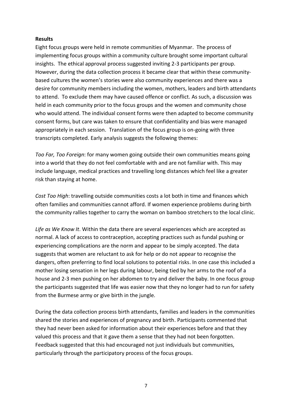#### **Results**

Eight focus groups were held in remote communities of Myanmar. The process of implementing focus groups within a community culture brought some important cultural insights. The ethical approval process suggested inviting 2-3 participants per group. However, during the data collection process it became clear that within these communitybased cultures the women's stories were also community experiences and there was a desire for community members including the women, mothers, leaders and birth attendants to attend. To exclude them may have caused offence or conflict. As such, a discussion was held in each community prior to the focus groups and the women and community chose who would attend. The individual consent forms were then adapted to become community consent forms, but care was taken to ensure that confidentiality and bias were managed appropriately in each session. Translation of the focus group is on-going with three transcripts completed. Early analysis suggests the following themes:

*Too Far, Too Foreign*: for many women going outside their own communities means going into a world that they do not feel comfortable with and are not familiar with. This may include language, medical practices and travelling long distances which feel like a greater risk than staying at home.

*Cost Too High*: travelling outside communities costs a lot both in time and finances which often families and communities cannot afford. If women experience problems during birth the community rallies together to carry the woman on bamboo stretchers to the local clinic.

*Life as We Know It*. Within the data there are several experiences which are accepted as normal. A lack of access to contraception, accepting practices such as fundal pushing or experiencing complications are the norm and appear to be simply accepted. The data suggests that women are reluctant to ask for help or do not appear to recognise the dangers, often preferring to find local solutions to potential risks. In one case this included a mother losing sensation in her legs during labour, being tied by her arms to the roof of a house and 2-3 men pushing on her abdomen to try and deliver the baby. In one focus group the participants suggested that life was easier now that they no longer had to run for safety from the Burmese army or give birth in the jungle.

During the data collection process birth attendants, families and leaders in the communities shared the stories and experiences of pregnancy and birth. Participants commented that they had never been asked for information about their experiences before and that they valued this process and that it gave them a sense that they had not been forgotten. Feedback suggested that this had encouraged not just individuals but communities, particularly through the participatory process of the focus groups.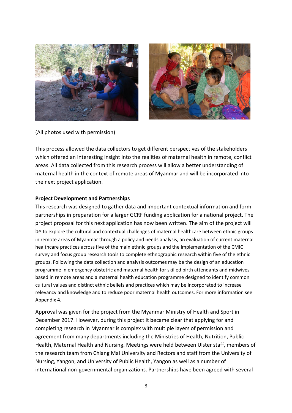



(All photos used with permission)

This process allowed the data collectors to get different perspectives of the stakeholders which offered an interesting insight into the realities of maternal health in remote, conflict areas. All data collected from this research process will allow a better understanding of maternal health in the context of remote areas of Myanmar and will be incorporated into the next project application.

#### **Project Development and Partnerships**

This research was designed to gather data and important contextual information and form partnerships in preparation for a larger GCRF funding application for a national project. The project proposal for this next application has now been written. The aim of the project will be to explore the cultural and contextual challenges of maternal healthcare between ethnic groups in remote areas of Myanmar through a policy and needs analysis, an evaluation of current maternal healthcare practices across five of the main ethnic groups and the implementation of the CMIC survey and focus group research tools to complete ethnographic research within five of the ethnic groups. Following the data collection and analysis outcomes may be the design of an education programme in emergency obstetric and maternal health for skilled birth attendants and midwives based in remote areas and a maternal health education programme designed to identify common cultural values and distinct ethnic beliefs and practices which may be incorporated to increase relevancy and knowledge and to reduce poor maternal health outcomes. For more information see Appendix 4.

Approval was given for the project from the Myanmar Ministry of Health and Sport in December 2017. However, during this project it became clear that applying for and completing research in Myanmar is complex with multiple layers of permission and agreement from many departments including the Ministries of Health, Nutrition, Public Health, Maternal Health and Nursing. Meetings were held between Ulster staff, members of the research team from Chiang Mai University and Rectors and staff from the University of Nursing, Yangon, and University of Public Health, Yangon as well as a number of international non-governmental organizations. Partnerships have been agreed with several